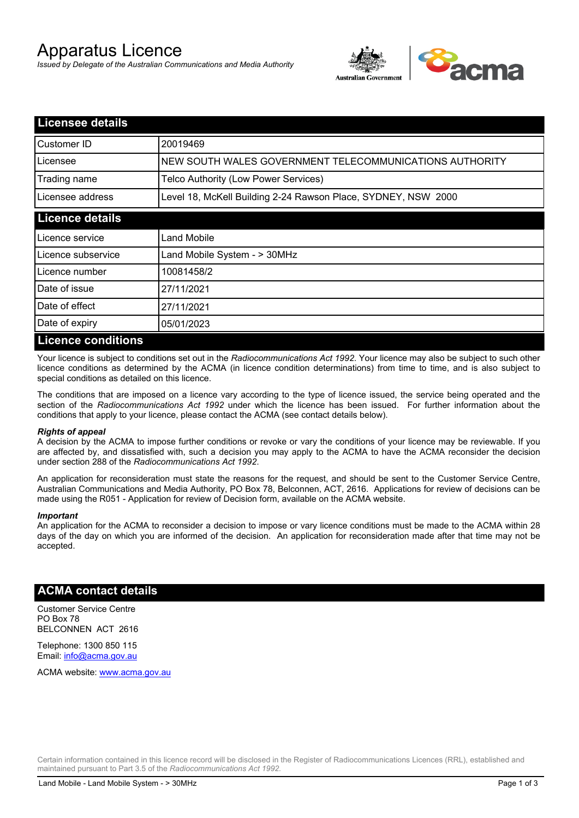# Apparatus Licence

*Issued by Delegate of the Australian Communications and Media Authority*



| <b>Licensee details</b>   |                                                               |  |
|---------------------------|---------------------------------------------------------------|--|
| Customer ID               | 20019469                                                      |  |
| Licensee                  | NEW SOUTH WALES GOVERNMENT TELECOMMUNICATIONS AUTHORITY       |  |
| Trading name              | Telco Authority (Low Power Services)                          |  |
| Licensee address          | Level 18, McKell Building 2-24 Rawson Place, SYDNEY, NSW 2000 |  |
| <b>Licence details</b>    |                                                               |  |
| l Licence service         | Land Mobile                                                   |  |
| Licence subservice        | Land Mobile System - > 30MHz                                  |  |
| Licence number            | 10081458/2                                                    |  |
| Date of issue             | 27/11/2021                                                    |  |
| Date of effect            | 27/11/2021                                                    |  |
| Date of expiry            | 05/01/2023                                                    |  |
| <b>Licence conditions</b> |                                                               |  |

Your licence is subject to conditions set out in the *Radiocommunications Act 1992*. Your licence may also be subject to such other licence conditions as determined by the ACMA (in licence condition determinations) from time to time, and is also subject to special conditions as detailed on this licence.

The conditions that are imposed on a licence vary according to the type of licence issued, the service being operated and the section of the *Radiocommunications Act 1992* under which the licence has been issued. For further information about the conditions that apply to your licence, please contact the ACMA (see contact details below).

#### *Rights of appeal*

A decision by the ACMA to impose further conditions or revoke or vary the conditions of your licence may be reviewable. If you are affected by, and dissatisfied with, such a decision you may apply to the ACMA to have the ACMA reconsider the decision under section 288 of the *Radiocommunications Act 1992*.

An application for reconsideration must state the reasons for the request, and should be sent to the Customer Service Centre, Australian Communications and Media Authority, PO Box 78, Belconnen, ACT, 2616. Applications for review of decisions can be made using the R051 - Application for review of Decision form, available on the ACMA website.

#### *Important*

An application for the ACMA to reconsider a decision to impose or vary licence conditions must be made to the ACMA within 28 days of the day on which you are informed of the decision. An application for reconsideration made after that time may not be accepted.

### **ACMA contact details**

Customer Service Centre PO Box 78 BELCONNEN ACT 2616

Telephone: 1300 850 115 Email: info@acma.gov.au

ACMA website: www.acma.gov.au

Certain information contained in this licence record will be disclosed in the Register of Radiocommunications Licences (RRL), established and maintained pursuant to Part 3.5 of the *Radiocommunications Act 1992.*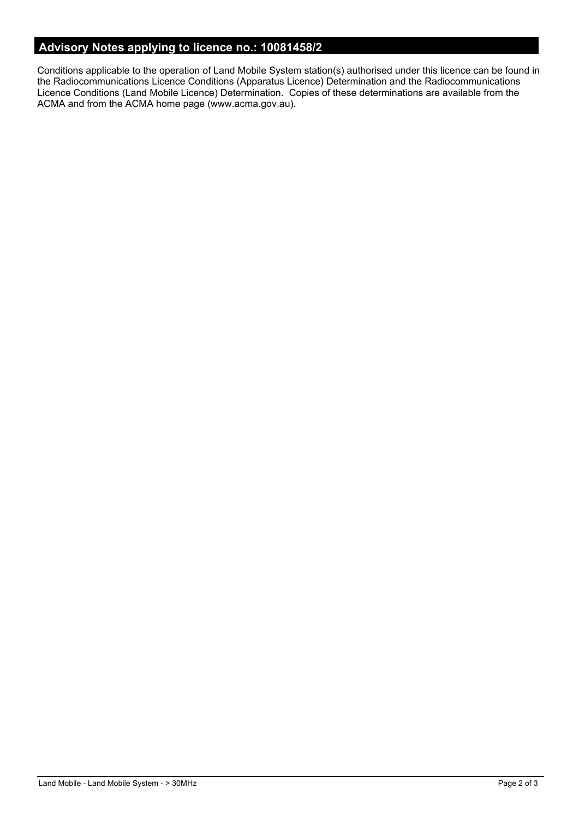# **Advisory Notes applying to licence no.: 10081458/2**

Conditions applicable to the operation of Land Mobile System station(s) authorised under this licence can be found in the Radiocommunications Licence Conditions (Apparatus Licence) Determination and the Radiocommunications Licence Conditions (Land Mobile Licence) Determination. Copies of these determinations are available from the ACMA and from the ACMA home page (www.acma.gov.au).